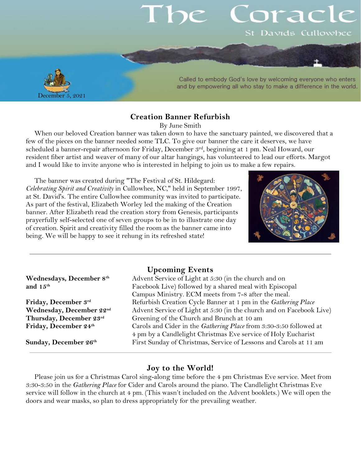# orac St Davids Cullowhee



Called to embody God's love by welcoming everyone who enters and by empowering all who stay to make a difference in the world.

#### **Creation Banner Refurbish**

By June Smith

When our beloved Creation banner was taken down to have the sanctuary painted, we discovered that a few of the pieces on the banner needed some TLC. To give our banner the care it deserves, we have scheduled a banner-repair afternoon for Friday, December 3rd, beginning at 1 pm. Neal Howard, our resident fiber artist and weaver of many of our altar hangings, has volunteered to lead our efforts. Margot and I would like to invite anyone who is interested in helping to join us to make a few repairs.

The banner was created during "The Festival of St. Hildegard: *Celebrating Spirit and Creativity* in Cullowhee, NC," held in September 1997, at St. David's. The entire Cullowhee community was invited to participate. As part of the festival, Elizabeth Worley led the making of the Creation banner. After Elizabeth read the creation story from Genesis, participants prayerfully self-selected one of seven groups to be in to illustrate one day of creation. Spirit and creativity filled the room as the banner came into being. We will be happy to see it rehung in its refreshed state!



#### **Upcoming Events**

| Wednesdays, December 8th       | Advent Service of Light at 5:30 (in the church and on                |
|--------------------------------|----------------------------------------------------------------------|
| and 15th                       | Facebook Live) followed by a shared meal with Episcopal              |
|                                | Campus Ministry. ECM meets from 7-8 after the meal.                  |
| Friday, December 3rd           | Refurbish Creation Cycle Banner at 1 pm in the Gathering Place       |
| Wednesday, December 22nd       | Advent Service of Light at 5:30 (in the church and on Facebook Live) |
| Thursday, December 23rd        | Greening of the Church and Brunch at 10 am                           |
| Friday, December 24th          | Carols and Cider in the Gathering Place from 3:30-3:50 followed at   |
|                                | 4 pm by a Candlelight Christmas Eve service of Holy Eucharist        |
| Sunday, December $26^{\rm th}$ | First Sunday of Christmas, Service of Lessons and Carols at 11 am    |
|                                |                                                                      |

#### **Joy to the World!**

Please join us for a Christmas Carol sing-along time before the 4 pm Christmas Eve service. Meet from 3:30-3:50 in the *Gathering Place* for Cider and Carols around the piano. The Candlelight Christmas Eve service will follow in the church at 4 pm. (This wasn't included on the Advent booklets.) We will open the doors and wear masks, so plan to dress appropriately for the prevailing weather.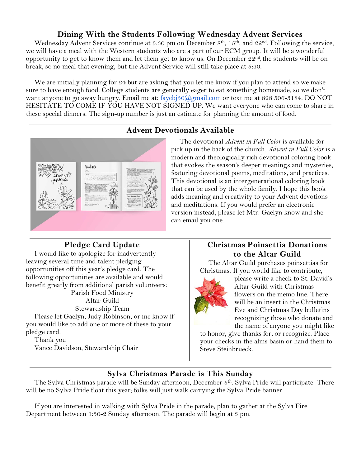## **Dining With the Students Following Wednesday Advent Services**

Wednesday Advent Services continue at 5:30 pm on December 8<sup>th</sup>, 15<sup>th</sup>, and 22<sup>nd</sup>. Following the service, we will have a meal with the Western students who are a part of our ECM group. It will be a wonderful opportunity to get to know them and let them get to know us. On December 22<sup>nd</sup>, the students will be on break, so no meal that evening, but the Advent Service will still take place at 5:30.

We are initially planning for 24 but are asking that you let me know if you plan to attend so we make sure to have enough food. College students are generally eager to eat something homemade, so we don't want anyone to go away hungry. Email me at: fayebj $50\textcircled{a}$ gmail.com or text me at 828 506-3184. DO NOT HESITATE TO COME IF YOU HAVE NOT SIGNED UP. We want everyone who can come to share in these special dinners. The sign-up number is just an estimate for planning the amount of food.

### **Advent Devotionals Available**



The devotional *Advent in Full Color* is available for pick up in the back of the church. *Advent in Full Color* is a modern and theologically rich devotional coloring book that evokes the season's deeper meanings and mysteries, featuring devotional poems, meditations, and practices. This devotional is an intergenerational coloring book that can be used by the whole family. I hope this book adds meaning and creativity to your Advent devotions and meditations. If you would prefer an electronic version instead, please let Mtr. Gaelyn know and she can email you one.

### **Pledge Card Update**

I would like to apologize for inadvertently leaving several time and talent pledging opportunities off this year's pledge card. The following opportunities are available and would benefit greatly from additional parish volunteers: Parish Food Ministry Altar Guild

Stewardship Team Please let Gaelyn, Judy Robinson, or me know if you would like to add one or more of these to your pledge card.

Thank you

Vance Davidson, Stewardship Chair

## **Christmas Poinsettia Donations to the Altar Guild**

The Altar Guild purchases poinsettias for Christmas. If you would like to contribute,



please write a check to St. David's Altar Guild with Christmas flowers on the memo line. There will be an insert in the Christmas Eve and Christmas Day bulletins recognizing those who donate and the name of anyone you might like

to honor, give thanks for, or recognize. Place your checks in the alms basin or hand them to Steve Steinbrueck.

## **Sylva Christmas Parade is This Sunday**

The Sylva Christmas parade will be Sunday afternoon, December 5 th. Sylva Pride will participate. There will be no Sylva Pride float this year; folks will just walk carrying the Sylva Pride banner.

If you are interested in walking with Sylva Pride in the parade, plan to gather at the Sylva Fire Department between 1:30-2 Sunday afternoon. The parade will begin at 3 pm.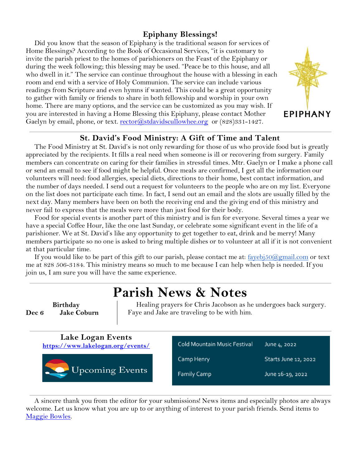## **Epiphany Blessings!**

Did you know that the season of Epiphany is the traditional season for services of Home Blessings? According to the Book of Occasional Services, "it is customary to invite the parish priest to the homes of parishioners on the Feast of the Epiphany or during the week following; this blessing may be used. "Peace be to this house, and all who dwell in it." The service can continue throughout the house with a blessing in each room and end with a service of Holy Communion. The service can include various readings from Scripture and even hymns if wanted. This could be a great opportunity to gather with family or friends to share in both fellowship and worship in your own home. There are many options, and the service can be customized as you may wish. If you are interested in having a Home Blessing this Epiphany, please contact Mother Gaelyn by email, phone, or text. [rector@stdavidscullowhee.org](mailto:rector@stdavidscullowhee.org) or (828)331-1427.



#### **St. David's Food Ministry: A Gift of Time and Talent**

The Food Ministry at St. David's is not only rewarding for those of us who provide food but is greatly appreciated by the recipients. It fills a real need when someone is ill or recovering from surgery. Family members can concentrate on caring for their families in stressful times. Mtr. Gaelyn or I make a phone call or send an email to see if food might be helpful. Once meals are confirmed, I get all the information our volunteers will need: food allergies, special diets, directions to their home, best contact information, and the number of days needed. I send out a request for volunteers to the people who are on my list. Everyone on the list does not participate each time. In fact, I send out an email and the slots are usually filled by the next day. Many members have been on both the receiving end and the giving end of this ministry and never fail to express that the meals were more than just food for their body.

Food for special events is another part of this ministry and is fun for everyone. Several times a year we have a special Coffee Hour, like the one last Sunday, or celebrate some significant event in the life of a parishioner. We at St. David's like any opportunity to get together to eat, drink and be merry! Many members participate so no one is asked to bring multiple dishes or to volunteer at all if it is not convenient at that particular time.

If you would like to be part of this gift to our parish, please contact me at:  $f_{a}$ yebj $50@g$ mail.com or text me at 828 506-3184. This ministry means so much to me because I can help when help is needed. If you join us, I am sure you will have the same experience.

## **Parish News & Notes**

**Birthday Dec 6 Jake Coburn**

Healing prayers for Chris Jacobson as he undergoes back surgery. Faye and Jake are traveling to be with him.



A sincere thank you from the editor for your submissions! News items and especially photos are always welcome. Let us know what you are up to or anything of interest to your parish friends. Send items to [Maggie Bowles.](mailto:magbowles@gmail.com)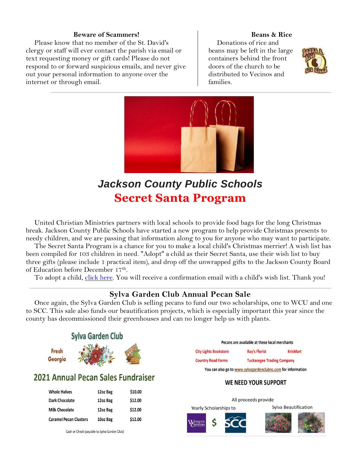#### **Beware of Scammers!**

Please know that no member of the St. David's clergy or staff will ever contact the parish via email or text requesting money or gift cards! Please do not respond to or forward suspicious emails, and never give out your personal information to anyone over the internet or through email.

#### **Beans & Rice**

Donations of rice and beans may be left in the large containers behind the front doors of the church to be distributed to Vecinos and families.





## *Jackson County Public Schools* **Secret Santa Program**

United Christian Ministries partners with local schools to provide food bags for the long Christmas break. Jackson County Public Schools have started a new program to help provide Christmas presents to needy children, and we are passing that information along to you for anyone who may want to participate.

The Secret Santa Program is a chance for you to make a local child's Christmas merrier! A wish list has been compiled for 103 children in need. "Adopt" a child as their Secret Santa, use their wish list to buy three gifts (please include 1 practical item), and drop off the unwrapped gifts to the Jackson County Board of Education before December 17th .

To adopt a child, [click here.](https://jacksonncsecretsanta.wordpress.com/) You will receive a confirmation email with a child's wish list. Thank you!

### **Sylva Garden Club Annual Pecan Sale**

Once again, the Sylva Garden Club is selling pecans to fund our two scholarships, one to WCU and one to SCC. This sale also funds our beautification projects, which is especially important this year since the county has decommissioned their greenhouses and can no longer help us with plants.